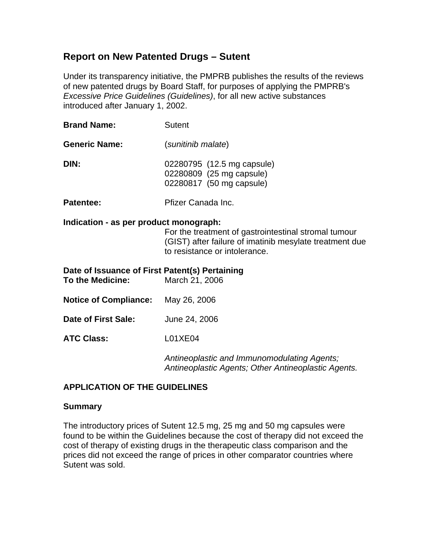# **Report on New Patented Drugs – Sutent**

Under its transparency initiative, the PMPRB publishes the results of the reviews of new patented drugs by Board Staff, for purposes of applying the PMPRB's *Excessive Price Guidelines (Guidelines)*, for all new active substances introduced after January 1, 2002.

| <b>Brand Name:</b>   | Sutent                                                                             |  |
|----------------------|------------------------------------------------------------------------------------|--|
| <b>Generic Name:</b> | (sunitinib malate)                                                                 |  |
| DIN:                 | 02280795 (12.5 mg capsule)<br>02280809 (25 mg capsule)<br>02280817 (50 mg capsule) |  |
| Patentee:            | Pfizer Canada Inc.                                                                 |  |

## **Indication - as per product monograph:**

For the treatment of gastrointestinal stromal tumour (GIST) after failure of imatinib mesylate treatment due to resistance or intolerance.

| Date of Issuance of First Patent(s) Pertaining<br><b>To the Medicine:</b> | March 21, 2006                                                                                     |
|---------------------------------------------------------------------------|----------------------------------------------------------------------------------------------------|
| <b>Notice of Compliance:</b>                                              | May 26, 2006                                                                                       |
| Date of First Sale:                                                       | June 24, 2006                                                                                      |
| <b>ATC Class:</b>                                                         | L01XE04                                                                                            |
|                                                                           | Antineoplastic and Immunomodulating Agents;<br>Antineoplastic Agents; Other Antineoplastic Agents. |

## **APPLICATION OF THE GUIDELINES**

## **Summary**

The introductory prices of Sutent 12.5 mg, 25 mg and 50 mg capsules were found to be within the Guidelines because the cost of therapy did not exceed the cost of therapy of existing drugs in the therapeutic class comparison and the prices did not exceed the range of prices in other comparator countries where Sutent was sold.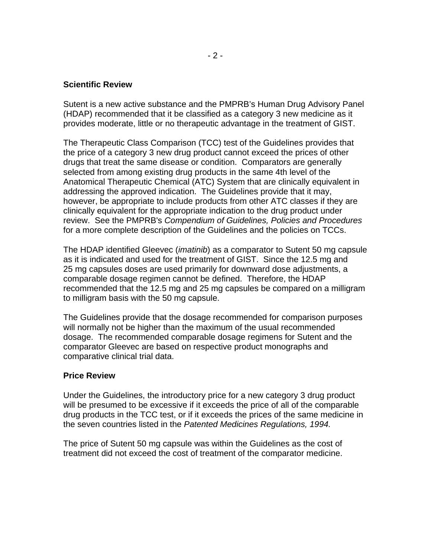#### **Scientific Review**

Sutent is a new active substance and the PMPRB's Human Drug Advisory Panel (HDAP) recommended that it be classified as a category 3 new medicine as it provides moderate, little or no therapeutic advantage in the treatment of GIST.

The Therapeutic Class Comparison (TCC) test of the Guidelines provides that the price of a category 3 new drug product cannot exceed the prices of other drugs that treat the same disease or condition. Comparators are generally selected from among existing drug products in the same 4th level of the Anatomical Therapeutic Chemical (ATC) System that are clinically equivalent in addressing the approved indication. The Guidelines provide that it may, however, be appropriate to include products from other ATC classes if they are clinically equivalent for the appropriate indication to the drug product under review. See the PMPRB's *Compendium of Guidelines, Policies and Procedures* for a more complete description of the Guidelines and the policies on TCCs.

The HDAP identified Gleevec (*imatinib*) as a comparator to Sutent 50 mg capsule as it is indicated and used for the treatment of GIST. Since the 12.5 mg and 25 mg capsules doses are used primarily for downward dose adjustments, a comparable dosage regimen cannot be defined. Therefore, the HDAP recommended that the 12.5 mg and 25 mg capsules be compared on a milligram to milligram basis with the 50 mg capsule.

The Guidelines provide that the dosage recommended for comparison purposes will normally not be higher than the maximum of the usual recommended dosage. The recommended comparable dosage regimens for Sutent and the comparator Gleevec are based on respective product monographs and comparative clinical trial data.

#### **Price Review**

Under the Guidelines, the introductory price for a new category 3 drug product will be presumed to be excessive if it exceeds the price of all of the comparable drug products in the TCC test, or if it exceeds the prices of the same medicine in the seven countries listed in the *Patented Medicines Regulations, 1994.*

The price of Sutent 50 mg capsule was within the Guidelines as the cost of treatment did not exceed the cost of treatment of the comparator medicine.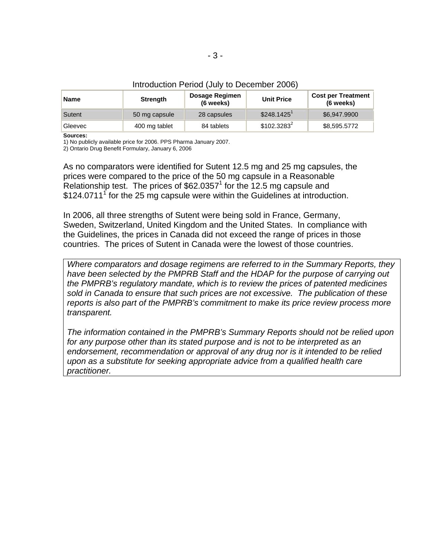|  | Introduction Period (July to December 2006) |
|--|---------------------------------------------|
|--|---------------------------------------------|

| Name    | <b>Strength</b> | Dosage Regimen<br>(6 weeks) | <b>Unit Price</b>        | <b>Cost per Treatment</b><br>(6 weeks) |
|---------|-----------------|-----------------------------|--------------------------|----------------------------------------|
| Sutent  | 50 mg capsule   | 28 capsules                 | $$248.1425$ <sup>1</sup> | \$6,947,9900                           |
| Gleevec | 400 mg tablet   | 84 tablets                  | $$102.3283^2$            | \$8,595.5772                           |

**Sources:** 

1) No publicly available price for 2006. PPS Pharma January 2007.

2) Ontario Drug Benefit Formulary, January 6, 2006

As no comparators were identified for Sutent 12.5 mg and 25 mg capsules, the prices were compared to the price of the 50 mg capsule in a Reasonable Relationship test. The prices of  $$62.0357<sup>1</sup>$  for the 12.5 mg capsule and  $$124.0711<sup>1</sup>$  for the 25 mg capsule were within the Guidelines at introduction.

In 2006, all three strengths of Sutent were being sold in France, Germany, Sweden, Switzerland, United Kingdom and the United States. In compliance with the Guidelines, the prices in Canada did not exceed the range of prices in those countries. The prices of Sutent in Canada were the lowest of those countries.

*Where comparators and dosage regimens are referred to in the Summary Reports, they have been selected by the PMPRB Staff and the HDAP for the purpose of carrying out the PMPRB's regulatory mandate, which is to review the prices of patented medicines sold in Canada to ensure that such prices are not excessive. The publication of these reports is also part of the PMPRB's commitment to make its price review process more transparent.* 

*The information contained in the PMPRB's Summary Reports should not be relied upon for any purpose other than its stated purpose and is not to be interpreted as an*  endorsement, recommendation or approval of any drug nor is it intended to be relied *upon as a substitute for seeking appropriate advice from a qualified health care practitioner.*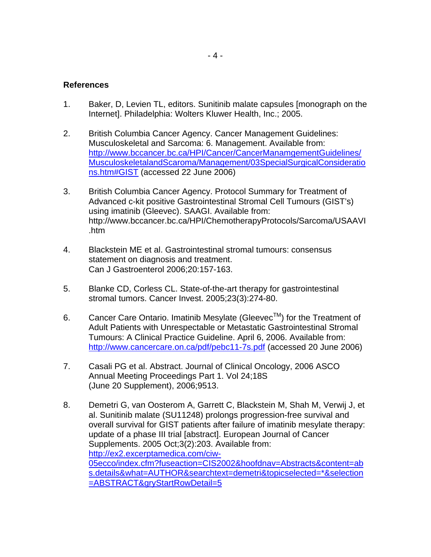- 1. Baker, D, Levien TL, editors. Sunitinib malate capsules [monograph on the Internet]. Philadelphia: Wolters Kluwer Health, Inc.; 2005.
- 2. British Columbia Cancer Agency. Cancer Management Guidelines: Musculoskeletal and Sarcoma: 6. Management. Available from: [http://www.bccancer.bc.ca/HPI/Cancer/CancerManamgementGuidelines/](http://www.bccancer.bc.ca/HPI/Cancer/CancerManamgementGuidelines/MusculoskeletalandScaroma/Management/03SpecialSurgicalConsiderations.htm#GIST) [MusculoskeletalandScaroma/Management/03SpecialSurgicalConsideratio](http://www.bccancer.bc.ca/HPI/Cancer/CancerManamgementGuidelines/MusculoskeletalandScaroma/Management/03SpecialSurgicalConsiderations.htm#GIST) [ns.htm#GIST](http://www.bccancer.bc.ca/HPI/Cancer/CancerManamgementGuidelines/MusculoskeletalandScaroma/Management/03SpecialSurgicalConsiderations.htm#GIST) (accessed 22 June 2006)
- 3. British Columbia Cancer Agency. Protocol Summary for Treatment of Advanced c-kit positive Gastrointestinal Stromal Cell Tumours (GIST's) using imatinib (Gleevec). SAAGI. Available from: http://www.bccancer.bc.ca/HPI/ChemotherapyProtocols/Sarcoma/USAAVI .htm
- 4. Blackstein ME et al. Gastrointestinal stromal tumours: consensus statement on diagnosis and treatment. Can J Gastroenterol 2006;20:157-163.
- 5. Blanke CD, Corless CL. State-of-the-art therapy for gastrointestinal stromal tumors. Cancer Invest. 2005;23(3):274-80.
- 6. Cancer Care Ontario. Imatinib Mesylate (Gleevec<sup>TM</sup>) for the Treatment of Adult Patients with Unrespectable or Metastatic Gastrointestinal Stromal Tumours: A Clinical Practice Guideline. April 6, 2006. Available from: <http://www.cancercare.on.ca/pdf/pebc11-7s.pdf>(accessed 20 June 2006)
- 7. Casali PG et al. Abstract. Journal of Clinical Oncology, 2006 ASCO Annual Meeting Proceedings Part 1. Vol 24;18S (June 20 Supplement), 2006;9513.
- 8. Demetri G, van Oosterom A, Garrett C, Blackstein M, Shah M, Verwij J, et al. Sunitinib malate (SU11248) prolongs progression-free survival and overall survival for GIST patients after failure of imatinib mesylate therapy: update of a phase III trial [abstract]. European Journal of Cancer Supplements. 2005 Oct;3(2):203. Available from: [http://ex2.excerptamedica.com/ciw-](http://ex2.excerptamedica.com/ciw-05ecco/index.cfm?fuseaction=CIS2002&hoofdnav=Abstracts&content=abs.details&what=AUTHOR&searchtext=demetri&topicselected=*&selection=ABSTRACT&gryStartRowDetail=5)[05ecco/index.cfm?fuseaction=CIS2002&hoofdnav=Abstracts&content=ab](http://ex2.excerptamedica.com/ciw-05ecco/index.cfm?fuseaction=CIS2002&hoofdnav=Abstracts&content=abs.details&what=AUTHOR&searchtext=demetri&topicselected=*&selection=ABSTRACT&gryStartRowDetail=5) [s.details&what=AUTHOR&searchtext=demetri&topicselected=\\*&selection](http://ex2.excerptamedica.com/ciw-05ecco/index.cfm?fuseaction=CIS2002&hoofdnav=Abstracts&content=abs.details&what=AUTHOR&searchtext=demetri&topicselected=*&selection=ABSTRACT&gryStartRowDetail=5) [=ABSTRACT&gryStartRowDetail=5](http://ex2.excerptamedica.com/ciw-05ecco/index.cfm?fuseaction=CIS2002&hoofdnav=Abstracts&content=abs.details&what=AUTHOR&searchtext=demetri&topicselected=*&selection=ABSTRACT&gryStartRowDetail=5)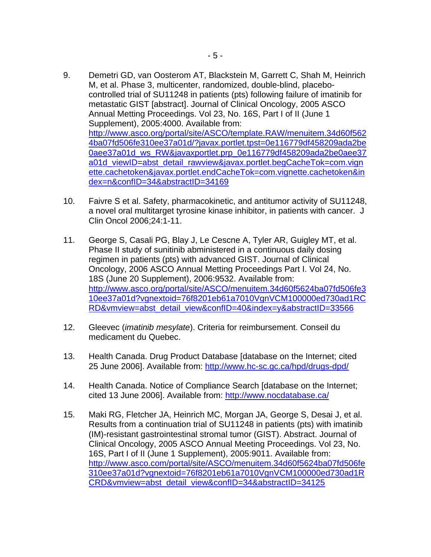- 9. Demetri GD, van Oosterom AT, Blackstein M, Garrett C, Shah M, Heinrich M, et al. Phase 3, multicenter, randomized, double-blind, placebocontrolled trial of SU11248 in patients (pts) following failure of imatinib for metastatic GIST [abstract]. Journal of Clinical Oncology, 2005 ASCO Annual Metting Proceedings. Vol 23, No. 16S, Part I of II (June 1 Supplement), 2005:4000. Available from: [http://www.asco.org/portal/site/ASCO/template.RAW/menuitem.34d60f562](http://www.asco.org/portal/site/ASCO/template.RAW/menuitem.34d60f5624ba07fd506fe310ee37a01d/?javax.portlet.tpst=0e116779df458209ada2be0aee37a01d_ws_RW&javaxportlet.prp_0e116779df458209ada2be0aee37a01d_viewID=abst_detail_rawview&javax.portlet.begCacheTok=com.vignette.cachetoken&javax.portlet.endCacheTok=com.vignette.cachetoken&index=n&confID=34&abstractID=34169) [4ba07fd506fe310ee37a01d/?javax.portlet.tpst=0e116779df458209ada2be](http://www.asco.org/portal/site/ASCO/template.RAW/menuitem.34d60f5624ba07fd506fe310ee37a01d/?javax.portlet.tpst=0e116779df458209ada2be0aee37a01d_ws_RW&javaxportlet.prp_0e116779df458209ada2be0aee37a01d_viewID=abst_detail_rawview&javax.portlet.begCacheTok=com.vignette.cachetoken&javax.portlet.endCacheTok=com.vignette.cachetoken&index=n&confID=34&abstractID=34169) 0aee37a01d ws RW&javaxportlet.prp 0e116779df458209ada2be0aee37 [a01d\\_viewID=abst\\_detail\\_rawview&javax.portlet.begCacheTok=com.vign](http://www.asco.org/portal/site/ASCO/template.RAW/menuitem.34d60f5624ba07fd506fe310ee37a01d/?javax.portlet.tpst=0e116779df458209ada2be0aee37a01d_ws_RW&javaxportlet.prp_0e116779df458209ada2be0aee37a01d_viewID=abst_detail_rawview&javax.portlet.begCacheTok=com.vignette.cachetoken&javax.portlet.endCacheTok=com.vignette.cachetoken&index=n&confID=34&abstractID=34169) [ette.cachetoken&javax.portlet.endCacheTok=com.vignette.cachetoken&in](http://www.asco.org/portal/site/ASCO/template.RAW/menuitem.34d60f5624ba07fd506fe310ee37a01d/?javax.portlet.tpst=0e116779df458209ada2be0aee37a01d_ws_RW&javaxportlet.prp_0e116779df458209ada2be0aee37a01d_viewID=abst_detail_rawview&javax.portlet.begCacheTok=com.vignette.cachetoken&javax.portlet.endCacheTok=com.vignette.cachetoken&index=n&confID=34&abstractID=34169) [dex=n&confID=34&abstractID=34169](http://www.asco.org/portal/site/ASCO/template.RAW/menuitem.34d60f5624ba07fd506fe310ee37a01d/?javax.portlet.tpst=0e116779df458209ada2be0aee37a01d_ws_RW&javaxportlet.prp_0e116779df458209ada2be0aee37a01d_viewID=abst_detail_rawview&javax.portlet.begCacheTok=com.vignette.cachetoken&javax.portlet.endCacheTok=com.vignette.cachetoken&index=n&confID=34&abstractID=34169)
- 10. Faivre S et al. Safety, pharmacokinetic, and antitumor activity of SU11248, a novel oral multitarget tyrosine kinase inhibitor, in patients with cancer. J Clin Oncol 2006;24:1-11.
- 11. George S, Casali PG, Blay J, Le Cescne A, Tyler AR, Guigley MT, et al. Phase II study of sunitinib abministered in a continuous daily dosing regimen in patients (pts) with advanced GIST. Journal of Clinical Oncology, 2006 ASCO Annual Metting Proceedings Part I. Vol 24, No. 18S (June 20 Supplement), 2006:9532. Available from: [http://www.asco.org/portal/site/ASCO/menuitem.34d60f5624ba07fd506fe3](http://www.asco.org/portal/site/ASCO/menuitem.34d60f5624ba07fd506fe310ee37a01d?vgnextoid=76f8201eb61a7010VgnVCM100000ed730ad1RCRD&vmview=abst_detail_view&confID=40&index=y&abstractID=33566) [10ee37a01d?vgnextoid=76f8201eb61a7010VgnVCM100000ed730ad1RC](http://www.asco.org/portal/site/ASCO/menuitem.34d60f5624ba07fd506fe310ee37a01d?vgnextoid=76f8201eb61a7010VgnVCM100000ed730ad1RCRD&vmview=abst_detail_view&confID=40&index=y&abstractID=33566) [RD&vmview=abst\\_detail\\_view&confID=40&index=y&abstractID=33566](http://www.asco.org/portal/site/ASCO/menuitem.34d60f5624ba07fd506fe310ee37a01d?vgnextoid=76f8201eb61a7010VgnVCM100000ed730ad1RCRD&vmview=abst_detail_view&confID=40&index=y&abstractID=33566)
- 12. Gleevec (*imatinib mesylate*). Criteria for reimbursement. Conseil du medicament du Quebec.
- 13. Health Canada. Drug Product Database [database on the Internet; cited 25 June 2006]. Available from:<http://www.hc-sc.gc.ca/hpd/drugs-dpd/>
- 14. Health Canada. Notice of Compliance Search [database on the Internet; cited 13 June 2006]. Available from:<http://www.nocdatabase.ca/>
- 15. Maki RG, Fletcher JA, Heinrich MC, Morgan JA, George S, Desai J, et al. Results from a continuation trial of SU11248 in patients (pts) with imatinib (IM)-resistant gastrointestinal stromal tumor (GIST). Abstract. Journal of Clinical Oncology, 2005 ASCO Annual Meeting Proceedings. Vol 23, No. 16S, Part I of II (June 1 Supplement), 2005:9011. Available from: [http://www.asco.com/portal/site/ASCO/menuitem.34d60f5624ba07fd506fe](http://www.asco.com/portal/site/ASCO/menuitem.34d60f5624ba07fd506fe310ee37a01d?vgnextoid=76f8201eb61a7010VgnVCM100000ed730ad1RCRD&vmview=abst_detail_view&confID=34&abstractID=34125) [310ee37a01d?vgnextoid=76f8201eb61a7010VgnVCM100000ed730ad1R](http://www.asco.com/portal/site/ASCO/menuitem.34d60f5624ba07fd506fe310ee37a01d?vgnextoid=76f8201eb61a7010VgnVCM100000ed730ad1RCRD&vmview=abst_detail_view&confID=34&abstractID=34125) [CRD&vmview=abst\\_detail\\_view&confID=34&abstractID=34125](http://www.asco.com/portal/site/ASCO/menuitem.34d60f5624ba07fd506fe310ee37a01d?vgnextoid=76f8201eb61a7010VgnVCM100000ed730ad1RCRD&vmview=abst_detail_view&confID=34&abstractID=34125)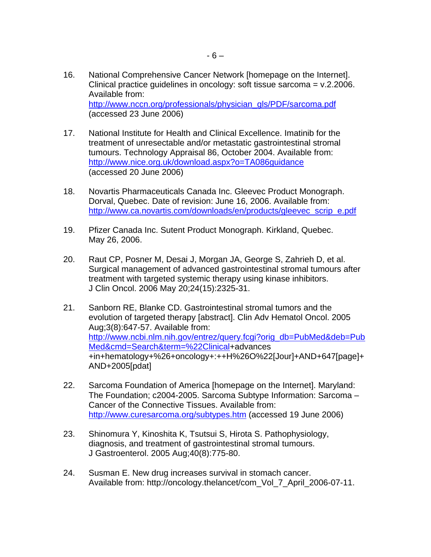- 16. National Comprehensive Cancer Network [homepage on the Internet]. Clinical practice guidelines in oncology: soft tissue sarcoma = v.2.2006. Available from: [http://www.nccn.org/professionals/physician\\_gls/PDF/sarcoma.pdf](http://www.nccn.org/professionals/physician_gls/PDF/sarcoma.pdf) (accessed 23 June 2006)
- 17. National Institute for Health and Clinical Excellence. Imatinib for the treatment of unresectable and/or metastatic gastrointestinal stromal tumours. Technology Appraisal 86, October 2004. Available from: <http://www.nice.org.uk/download.aspx?o=TA086guidance> (accessed 20 June 2006)
- 18. Novartis Pharmaceuticals Canada Inc. Gleevec Product Monograph. Dorval, Quebec. Date of revision: June 16, 2006. Available from: [http://www.ca.novartis.com/downloads/en/products/gleevec\\_scrip\\_e.pdf](http://www.ca.novartis.com/downloads/en/products/gleevec_scrip_e.pdf)
- 19. Pfizer Canada Inc. Sutent Product Monograph. Kirkland, Quebec. May 26, 2006.
- 20. Raut CP, Posner M, Desai J, Morgan JA, George S, Zahrieh D, et al. Surgical management of advanced gastrointestinal stromal tumours after treatment with targeted systemic therapy using kinase inhibitors. J Clin Oncol. 2006 May 20;24(15):2325-31.
- 21. Sanborn RE, Blanke CD. Gastrointestinal stromal tumors and the evolution of targeted therapy [abstract]. Clin Adv Hematol Oncol. 2005 Aug;3(8):647-57. Available from: [http://www.ncbi.nlm.nih.gov/entrez/query.fcgi?orig\\_db=PubMed&deb=Pub](http://www.ncbi.nlm.nih.gov/entrez/query.fcgi?orig_db=PubMed&deb=PubMed&cmd=Search&term=%22Clinical) [Med&cmd=Search&term=%22Clinical+](http://www.ncbi.nlm.nih.gov/entrez/query.fcgi?orig_db=PubMed&deb=PubMed&cmd=Search&term=%22Clinical)advances +in+hematology+%26+oncology+:++H%26O%22[Jour]+AND+647[page]+ AND+2005[pdat]
- 22. Sarcoma Foundation of America [homepage on the Internet]. Maryland: The Foundation; c2004-2005. Sarcoma Subtype Information: Sarcoma – Cancer of the Connective Tissues. Available from: <http://www.curesarcoma.org/subtypes.htm> (accessed 19 June 2006)
- 23. Shinomura Y, Kinoshita K, Tsutsui S, Hirota S. Pathophysiology, diagnosis, and treatment of gastrointestinal stromal tumours. J Gastroenterol. 2005 Aug;40(8):775-80.
- 24. Susman E. New drug increases survival in stomach cancer. Available from: http://oncology.thelancet/com\_Vol\_7\_April\_2006-07-11.